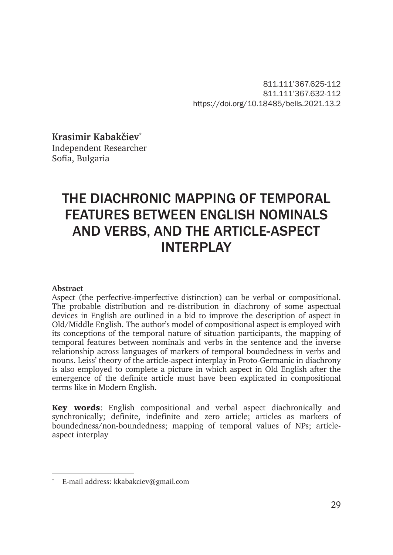811.111'367.625-112 811.111'367.632-112 https://doi.org/10.18485/bells.2021.13.2

**Krasimir Kabakčiev**\* Independent Researcher

Sofia, Bulgaria

# THE DIACHRONIC MAPPING OF TEMPORAL FEATURES BETWEEN ENGLISH NOMINALS AND VERBS, AND THE ARTICLE-ASPECT INTERPLAY

#### **Abstract**

Aspect (the perfective-imperfective distinction) can be verbal or compositional. The probable distribution and re-distribution in diachrony of some aspectual devices in English are outlined in a bid to improve the description of aspect in Old/Middle English. The author's model of compositional aspect is employed with its conceptions of the temporal nature of situation participants, the mapping of temporal features between nominals and verbs in the sentence and the inverse relationship across languages of markers of temporal boundedness in verbs and nouns. Leiss' theory of the article-aspect interplay in Proto-Germanic in diachrony is also employed to complete a picture in which aspect in Old English after the emergence of the definite article must have been explicated in compositional terms like in Modern English.

Key words: English compositional and verbal aspect diachronically and synchronically; definite, indefinite and zero article; articles as markers of boundedness/non-boundedness; mapping of temporal values of NPs; articleaspect interplay

E-mail address: kkabakciev@gmail.com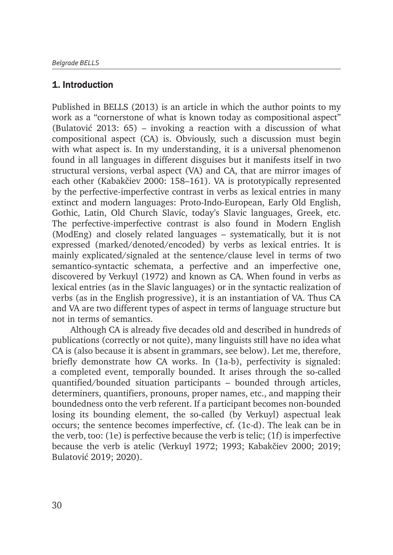## 1. Introduction

Published in BELLS (2013) is an article in which the author points to my work as a "cornerstone of what is known today as compositional aspect" (Bulatović 2013: 65) – invoking a reaction with a discussion of what compositional aspect (CA) is. Obviously, such a discussion must begin with what aspect is. In my understanding, it is a universal phenomenon found in all languages in different disguises but it manifests itself in two structural versions, verbal aspect (VA) and CA, that are mirror images of each other (Kabakčiev 2000: 158–161). VA is prototypically represented by the perfective-imperfective contrast in verbs as lexical entries in many extinct and modern languages: Proto-Indo-European, Early Old English, Gothic, Latin, Old Church Slavic, today's Slavic languages, Greek, etc. The perfective-imperfective contrast is also found in Modern English (ModEng) and closely related languages – systematically, but it is not expressed (marked/denoted/encoded) by verbs as lexical entries. It is mainly explicated/signaled at the sentence/clause level in terms of two semantico-syntactic schemata, a perfective and an imperfective one, discovered by Verkuyl (1972) and known as CA. When found in verbs as lexical entries (as in the Slavic languages) or in the syntactic realization of verbs (as in the English progressive), it is an instantiation of VA. Thus CA and VA are two different types of aspect in terms of language structure but not in terms of semantics.

Although CA is already five decades old and described in hundreds of publications (correctly or not quite), many linguists still have no idea what CA is (also because it is absent in grammars, see below). Let me, therefore, briefly demonstrate how CA works. In (1a-b), perfectivity is signaled: a completed event, temporally bounded. It arises through the so-called quantified/bounded situation participants – bounded through articles, determiners, quantifiers, pronouns, proper names, etc., and mapping their boundedness onto the verb referent. If a participant becomes non-bounded losing its bounding element, the so-called (by Verkuyl) aspectual leak occurs; the sentence becomes imperfective, cf. (1c-d). The leak can be in the verb, too: (1e) is perfective because the verb is telic; (1f) is imperfective because the verb is atelic (Verkuyl 1972; 1993; Kabakčiev 2000; 2019; Bulatović 2019; 2020).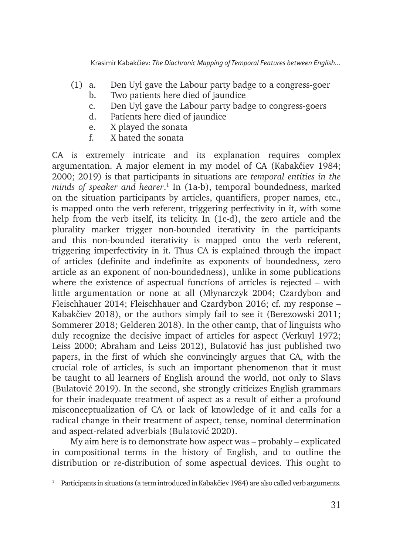- (1) a. Den Uyl gave the Labour party badge to a congress-goer
	- b. Two patients here died of jaundice
	- c. Den Uyl gave the Labour party badge to congress-goers
	- d. Patients here died of jaundice
	- e. X played the sonata
	- f. X hated the sonata

CA is extremely intricate and its explanation requires complex argumentation. A major element in my model of CA (Kabakčiev 1984; 2000; 2019) is that participants in situations are *temporal entities in the minds of speaker and hearer*. 1 In (1a-b), temporal boundedness, marked on the situation participants by articles, quantifiers, proper names, etc., is mapped onto the verb referent, triggering perfectivity in it, with some help from the verb itself, its telicity. In (1c-d), the zero article and the plurality marker trigger non-bounded iterativity in the participants and this non-bounded iterativity is mapped onto the verb referent, triggering imperfectivity in it. Thus CA is explained through the impact of articles (definite and indefinite as exponents of boundedness, zero article as an exponent of non-boundedness), unlike in some publications where the existence of aspectual functions of articles is rejected – with little argumentation or none at all (Młynarczyk 2004; Czardybon and Fleischhauer 2014; Fleischhauer and Czardybon 2016; cf. my response – Kabakčiev 2018), or the authors simply fail to see it (Berezowski 2011; Sommerer 2018; Gelderen 2018). In the other camp, that of linguists who duly recognize the decisive impact of articles for aspect (Verkuyl 1972; Leiss 2000; Abraham and Leiss 2012), Bulatović has just published two papers, in the first of which she convincingly argues that CA, with the crucial role of articles, is such an important phenomenon that it must be taught to all learners of English around the world, not only to Slavs (Bulatović 2019). In the second, she strongly criticizes English grammars for their inadequate treatment of aspect as a result of either a profound misconceptualization of CA or lack of knowledge of it and calls for a radical change in their treatment of aspect, tense, nominal determination and aspect-related adverbials (Bulatović 2020).

My aim here is to demonstrate how aspect was – probably – explicated in compositional terms in the history of English, and to outline the distribution or re-distribution of some aspectual devices. This ought to

<sup>&</sup>lt;sup>1</sup> Participants in situations (a term introduced in Kabakčiev 1984) are also called verb arguments.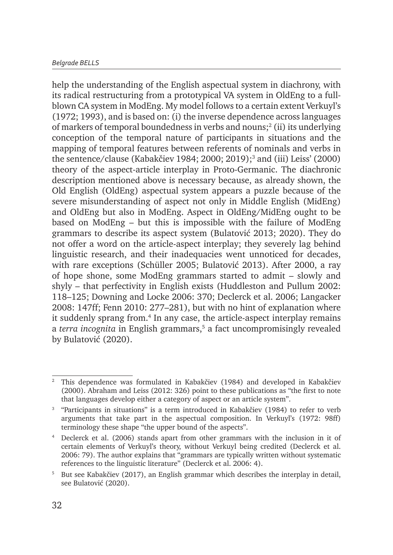help the understanding of the English aspectual system in diachrony, with its radical restructuring from a prototypical VA system in OldEng to a fullblown CA system in ModEng. My model follows to a certain extent Verkuyl's (1972; 1993), and is based on: (i) the inverse dependence across languages of markers of temporal boundedness in verbs and nouns;<sup>2</sup> (ii) its underlying conception of the temporal nature of participants in situations and the mapping of temporal features between referents of nominals and verbs in the sentence/clause (Kabakčiev 1984; 2000; 2019);<sup>3</sup> and (iii) Leiss' (2000) theory of the aspect-article interplay in Proto-Germanic. The diachronic description mentioned above is necessary because, as already shown, the Old English (OldEng) aspectual system appears a puzzle because of the severe misunderstanding of aspect not only in Middle English (MidEng) and OldEng but also in ModEng. Aspect in OldEng/MidEng ought to be based on ModEng – but this is impossible with the failure of ModEng grammars to describe its aspect system (Bulatović 2013; 2020). They do not offer a word on the article-aspect interplay; they severely lag behind linguistic research, and their inadequacies went unnoticed for decades, with rare exceptions (Schüller 2005; Bulatović 2013). After 2000, a ray of hope shone, some ModEng grammars started to admit – slowly and shyly – that perfectivity in English exists (Huddleston and Pullum 2002: 118–125; Downing and Locke 2006: 370; Declerck et al. 2006; Langacker 2008: 147ff; Fenn 2010: 277–281), but with no hint of explanation where it suddenly sprang from.<sup>4</sup> In any case, the article-aspect interplay remains a *terra incognita* in English grammars,<sup>5</sup> a fact uncompromisingly revealed by Bulatović (2020).

<sup>2</sup> This dependence was formulated in Kabakčiev (1984) and developed in Kabakčiev (2000). Abraham and Leiss (2012: 326) point to these publications as "the first to note that languages develop either a category of aspect or an article system".

<sup>3</sup> "Participants in situations" is a term introduced in Kabakčiev (1984) to refer to verb arguments that take part in the aspectual composition. In Verkuyl's (1972: 98ff) terminology these shape "the upper bound of the aspects".

<sup>4</sup> Declerck et al. (2006) stands apart from other grammars with the inclusion in it of certain elements of Verkuyl's theory, without Verkuyl being credited (Declerck et al. 2006: 79). The author explains that "grammars are typically written without systematic references to the linguistic literature" (Declerck et al. 2006: 4).

<sup>&</sup>lt;sup>5</sup> But see Kabakčiev (2017), an English grammar which describes the interplay in detail, see Bulatović (2020).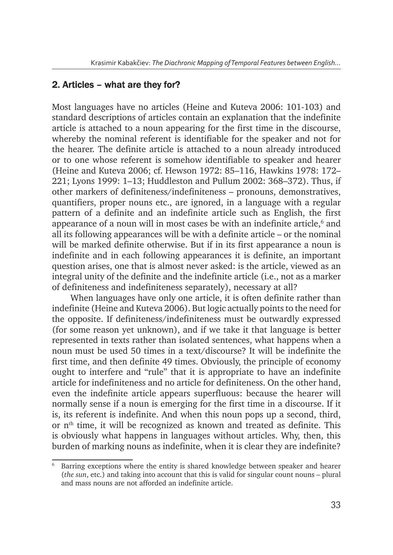## 2. Articles – what are they for?

Most languages have no articles (Heine and Kuteva 2006: 101-103) and standard descriptions of articles contain an explanation that the indefinite article is attached to a noun appearing for the first time in the discourse, whereby the nominal referent is identifiable for the speaker and not for the hearer. The definite article is attached to a noun already introduced or to one whose referent is somehow identifiable to speaker and hearer (Heine and Kuteva 2006; cf. Hewson 1972: 85–116, Hawkins 1978: 172– 221; Lyons 1999: 1–13; Huddleston and Pullum 2002: 368–372). Thus, if other markers of definiteness/indefiniteness – pronouns, demonstratives, quantifiers, proper nouns etc., are ignored, in a language with a regular pattern of a definite and an indefinite article such as English, the first appearance of a noun will in most cases be with an indefinite article, $6$  and all its following appearances will be with a definite article – or the nominal will be marked definite otherwise. But if in its first appearance a noun is indefinite and in each following appearances it is definite, an important question arises, one that is almost never asked: is the article, viewed as an integral unity of the definite and the indefinite article (i.e., not as a marker of definiteness and indefiniteness separately), necessary at all?

When languages have only one article, it is often definite rather than indefinite (Heine and Kuteva 2006). But logic actually points to the need for the opposite. If definiteness/indefiniteness must be outwardly expressed (for some reason yet unknown), and if we take it that language is better represented in texts rather than isolated sentences, what happens when a noun must be used 50 times in a text/discourse? It will be indefinite the first time, and then definite 49 times. Obviously, the principle of economy ought to interfere and "rule" that it is appropriate to have an indefinite article for indefiniteness and no article for definiteness. On the other hand, even the indefinite article appears superfluous: because the hearer will normally sense if a noun is emerging for the first time in a discourse. If it is, its referent is indefinite. And when this noun pops up a second, third, or  $n<sup>th</sup>$  time, it will be recognized as known and treated as definite. This is obviously what happens in languages without articles. Why, then, this burden of marking nouns as indefinite, when it is clear they are indefinite?

<sup>6</sup> Barring exceptions where the entity is shared knowledge between speaker and hearer (*the sun*, etc.) and taking into account that this is valid for singular count nouns – plural and mass nouns are not afforded an indefinite article.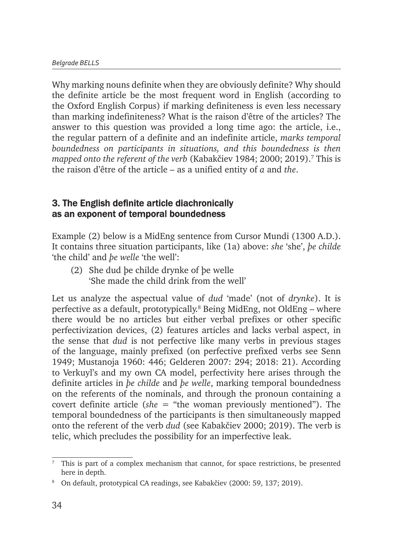Why marking nouns definite when they are obviously definite? Why should the definite article be the most frequent word in English (according to the Oxford English Corpus) if marking definiteness is even less necessary than marking indefiniteness? What is the raison d'être of the articles? The answer to this question was provided a long time ago: the article, i.e., the regular pattern of a definite and an indefinite article, *marks temporal boundedness on participants in situations, and this boundedness is then mapped onto the referent of the verb* (Kabakčiev 1984; 2000; 2019).7 This is the raison d'être of the article – as a unified entity of *a* and *the*.

### 3. The English definite article diachronically as an exponent of temporal boundedness

Example (2) below is a MidEng sentence from Cursor Mundi (1300 A.D.). It contains three situation participants, like (1a) above: *she* 'she', *þe childe* 'the child' and *þe welle* 'the well':

(2) She dud þe childe drynke of þe welle 'She made the child drink from the well'

Let us analyze the aspectual value of *dud* 'made' (not of *drynke*). It is perfective as a default, prototypically.<sup>8</sup> Being MidEng, not OldEng – where there would be no articles but either verbal prefixes or other specific perfectivization devices, (2) features articles and lacks verbal aspect, in the sense that *dud* is not perfective like many verbs in previous stages of the language, mainly prefixed (on perfective prefixed verbs see Senn 1949; Mustanoja 1960: 446; Gelderen 2007: 294; 2018: 21). According to Verkuyl's and my own CA model, perfectivity here arises through the definite articles in *þe childe* and *þe welle*, marking temporal boundedness on the referents of the nominals, and through the pronoun containing a covert definite article (*she* = "the woman previously mentioned"). The temporal boundedness of the participants is then simultaneously mapped onto the referent of the verb *dud* (see Kabakčiev 2000; 2019). The verb is telic, which precludes the possibility for an imperfective leak.

 $7$  This is part of a complex mechanism that cannot, for space restrictions, be presented here in depth.

<sup>8</sup> On default, prototypical CA readings, see Kabakčiev (2000: 59, 137; 2019).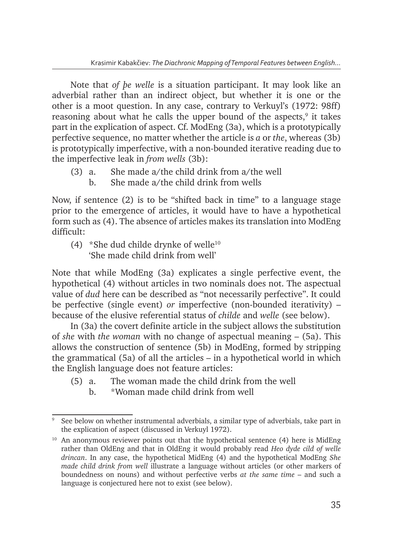Note that *of þe welle* is a situation participant. It may look like an adverbial rather than an indirect object, but whether it is one or the other is a moot question. In any case, contrary to Verkuyl's (1972: 98ff) reasoning about what he calls the upper bound of the aspects,<sup>9</sup> it takes part in the explication of aspect. Cf. ModEng (3a), which is a prototypically perfective sequence, no matter whether the article is *a* or *the*, whereas (3b) is prototypically imperfective, with a non-bounded iterative reading due to the imperfective leak in *from wells* (3b):

- (3) a. She made a/the child drink from a/the well
	- b. She made a/the child drink from wells

Now, if sentence (2) is to be "shifted back in time" to a language stage prior to the emergence of articles, it would have to have a hypothetical form such as (4). The absence of articles makes its translation into ModEng difficult:

(4)  $*$ She dud childe drynke of welle<sup>10</sup> 'She made child drink from well'

Note that while ModEng (3a) explicates a single perfective event, the hypothetical (4) without articles in two nominals does not. The aspectual value of *dud* here can be described as "not necessarily perfective". It could be perfective (single event) *or* imperfective (non-bounded iterativity) – because of the elusive referential status of *childe* and *welle* (see below).

In (3a) the covert definite article in the subject allows the substitution of *she* with *the woman* with no change of aspectual meaning – (5a). This allows the construction of sentence (5b) in ModEng, formed by stripping the grammatical (5a) of all the articles – in a hypothetical world in which the English language does not feature articles:

- (5) a. The woman made the child drink from the well
	- b. \*Woman made child drink from well

<sup>9</sup> See below on whether instrumental adverbials, a similar type of adverbials, take part in the explication of aspect (discussed in Verkuyl 1972).

 $10$  An anonymous reviewer points out that the hypothetical sentence (4) here is MidEng rather than OldEng and that in OldEng it would probably read *Heo dyde cild of welle drincan*. In any case, the hypothetical MidEng (4) and the hypothetical ModEng *She made child drink from well* illustrate a language without articles (or other markers of boundedness on nouns) and without perfective verbs *at the same time* – and such a language is conjectured here not to exist (see below).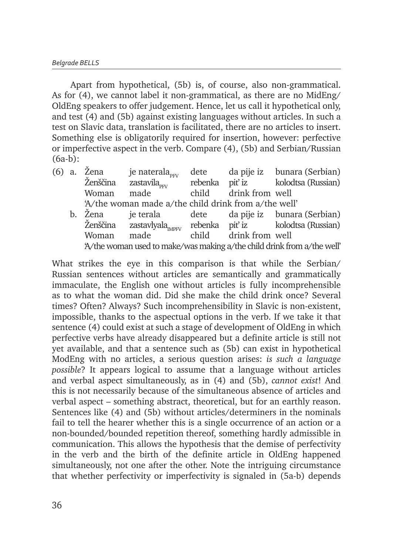Apart from hypothetical, (5b) is, of course, also non-grammatical. As for (4), we cannot label it non-grammatical, as there are no MidEng/ OldEng speakers to offer judgement. Hence, let us call it hypothetical only, and test (4) and (5b) against existing languages without articles. In such a test on Slavic data, translation is facilitated, there are no articles to insert. Something else is obligatorily required for insertion, however: perfective or imperfective aspect in the verb. Compare (4), (5b) and Serbian/Russian (6a-b):

| $(6)$ a. | Zena     | je naterala <sub>prv</sub>                           | dete  |                 | da pije iz bunara (Serbian)                                             |
|----------|----------|------------------------------------------------------|-------|-----------------|-------------------------------------------------------------------------|
|          | Ženščina | zastavila $_{\text{max}}$                            |       |                 | rebenka piť iz kolodtsa (Russian)                                       |
|          | Woman    | made                                                 | child | drink from well |                                                                         |
|          |          | 'A/the woman made a/the child drink from a/the well' |       |                 |                                                                         |
|          | b. Žena  | je terala                                            |       |                 | dete da pije iz bunara (Serbian)                                        |
|          |          |                                                      |       |                 | Ženščina zastavlyala <sub>merv</sub> rebenka piť iz kolodtsa (Russian)  |
|          | Woman    | made                                                 | child | drink from well |                                                                         |
|          |          |                                                      |       |                 | 'A/the woman used to make/was making a/the child drink from a/the well' |

What strikes the eye in this comparison is that while the Serbian/ Russian sentences without articles are semantically and grammatically immaculate, the English one without articles is fully incomprehensible as to what the woman did. Did she make the child drink once? Several times? Often? Always? Such incomprehensibility in Slavic is non-existent, impossible, thanks to the aspectual options in the verb. If we take it that sentence (4) could exist at such a stage of development of OldEng in which perfective verbs have already disappeared but a definite article is still not yet available, and that a sentence such as (5b) can exist in hypothetical ModEng with no articles, a serious question arises: *is such a language possible*? It appears logical to assume that a language without articles and verbal aspect simultaneously, as in (4) and (5b), *cannot exist*! And this is not necessarily because of the simultaneous absence of articles and verbal aspect – something abstract, theoretical, but for an earthly reason. Sentences like (4) and (5b) without articles/determiners in the nominals fail to tell the hearer whether this is a single occurrence of an action or a non-bounded/bounded repetition thereof, something hardly admissible in communication. This allows the hypothesis that the demise of perfectivity in the verb and the birth of the definite article in OldEng happened simultaneously, not one after the other. Note the intriguing circumstance that whether perfectivity or imperfectivity is signaled in (5a-b) depends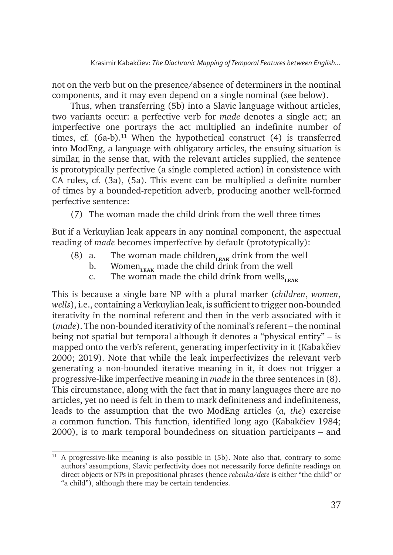not on the verb but on the presence/absence of determiners in the nominal components, and it may even depend on a single nominal (see below).

Thus, when transferring  $(5b)$  into a Slavic language without articles, two variants occur: a perfective verb for *made* denotes a single act; an imperfective one portrays the act multiplied an indefinite number of times, cf.  $(6a-b)$ .<sup>11</sup> When the hypothetical construct  $(4)$  is transferred into ModEng, a language with obligatory articles, the ensuing situation is similar, in the sense that, with the relevant articles supplied, the sentence is prototypically perfective (a single completed action) in consistence with CA rules, cf. (3a), (5a). This event can be multiplied a definite number of times by a bounded-repetition adverb, producing another well-formed perfective sentence:

(7) The woman made the child drink from the well three times

But if a Verkuylian leak appears in any nominal component, the aspectual reading of *made* becomes imperfective by default (prototypically):

- (8) a. The woman made children  $_{\text{LEAK}}$  drink from the well
	- b. Women<sub>LEAK</sub> made the child drink from the well
	- c. The woman made the child drink from wells<sub>LEAK</sub>

This is because a single bare NP with a plural marker (*children*, *women*, *wells*), i.e., containing a Verkuylian leak, is sufficient to trigger non-bounded iterativity in the nominal referent and then in the verb associated with it (*made*). The non-bounded iterativity of the nominal's referent – the nominal being not spatial but temporal although it denotes a "physical entity" – is mapped onto the verb's referent, generating imperfectivity in it (Kabakčiev 2000; 2019). Note that while the leak imperfectivizes the relevant verb generating a non-bounded iterative meaning in it, it does not trigger a progressive-like imperfective meaning in *made* in the three sentences in (8). This circumstance, along with the fact that in many languages there are no articles, yet no need is felt in them to mark definiteness and indefiniteness, leads to the assumption that the two ModEng articles (*a, the*) exercise a common function. This function, identified long ago (Kabakčiev 1984; 2000), is to mark temporal boundedness on situation participants – and

<sup>11</sup> A progressive-like meaning is also possible in (5b). Note also that, contrary to some authors' assumptions, Slavic perfectivity does not necessarily force definite readings on direct objects or NPs in prepositional phrases (hence *rebenka/dete* is either "the child" or "a child"), although there may be certain tendencies.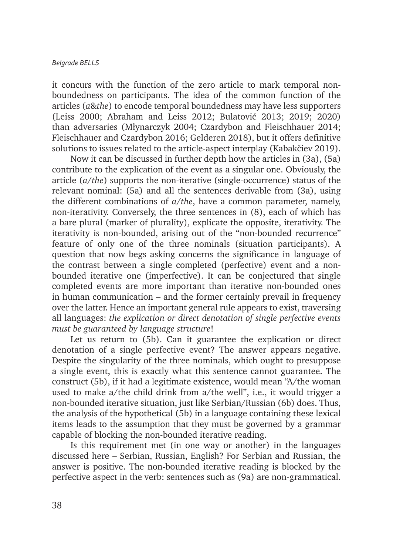it concurs with the function of the zero article to mark temporal nonboundedness on participants. The idea of the common function of the articles (*a*&*the*) to encode temporal boundedness may have less supporters (Leiss 2000; Abraham and Leiss 2012; Bulatović 2013; 2019; 2020) than adversaries (Młynarczyk 2004; Czardybon and Fleischhauer 2014; Fleischhauer and Czardybon 2016; Gelderen 2018), but it offers definitive solutions to issues related to the article-aspect interplay (Kabakčiev 2019).

Now it can be discussed in further depth how the articles in (3a), (5a) contribute to the explication of the event as a singular one. Obviously, the article (*a*/*the*) supports the non-iterative (single-occurrence) status of the relevant nominal: (5a) and all the sentences derivable from (3a), using the different combinations of *a*/*the*, have a common parameter, namely, non-iterativity. Conversely, the three sentences in (8), each of which has a bare plural (marker of plurality), explicate the opposite, iterativity. The iterativity is non-bounded, arising out of the "non-bounded recurrence" feature of only one of the three nominals (situation participants). A question that now begs asking concerns the significance in language of the contrast between a single completed (perfective) event and a nonbounded iterative one (imperfective). It can be conjectured that single completed events are more important than iterative non-bounded ones in human communication – and the former certainly prevail in frequency over the latter. Hence an important general rule appears to exist, traversing all languages: *the explication or direct denotation of single perfective events must be guaranteed by language structure*!

Let us return to (5b). Can it guarantee the explication or direct denotation of a single perfective event? The answer appears negative. Despite the singularity of the three nominals, which ought to presuppose a single event, this is exactly what this sentence cannot guarantee. The construct (5b), if it had a legitimate existence, would mean "A/the woman used to make a/the child drink from a/the well", i.e., it would trigger a non-bounded iterative situation, just like Serbian/Russian (6b) does. Thus, the analysis of the hypothetical (5b) in a language containing these lexical items leads to the assumption that they must be governed by a grammar capable of blocking the non-bounded iterative reading.

Is this requirement met (in one way or another) in the languages discussed here – Serbian, Russian, English? For Serbian and Russian, the answer is positive. The non-bounded iterative reading is blocked by the perfective aspect in the verb: sentences such as (9a) are non-grammatical.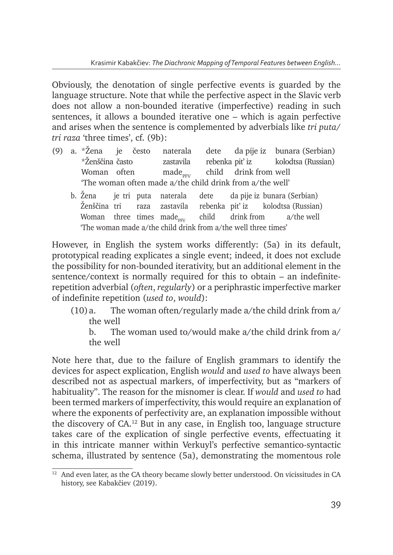Obviously, the denotation of single perfective events is guarded by the language structure. Note that while the perfective aspect in the Slavic verb does not allow a non-bounded iterative (imperfective) reading in such sentences, it allows a bounded iterative one – which is again perfective and arises when the sentence is complemented by adverbials like *tri puta*/ *tri raza* 'three times', cf. (9b):

- (9) a. \*Žena je često naterala dete da pije iz bunara (Serbian) \*Ženščina často zastavila rebenka pit' iz kolodtsa (Russian) Woman often  $made_{pv}$  child drink from well 'The woman often made a/the child drink from a/the well'
	- b. Žena je tri puta naterala dete da pije iz bunara (Serbian) Ženščina tri raza zastavila rebenka piť iz kolodtsa (Russian) Woman three times made<sub>nn</sub> child drink from a/the well 'The woman made a/the child drink from a/the well three times'

However, in English the system works differently: (5a) in its default, prototypical reading explicates a single event; indeed, it does not exclude the possibility for non-bounded iterativity, but an additional element in the sentence/context is normally required for this to obtain – an indefiniterepetition adverbial (*often*, *regularly*) or a periphrastic imperfective marker of indefinite repetition (*used to*, *would*):

(10)a. The woman often/regularly made a/the child drink from a/ the well

b. The woman used to/would make a/the child drink from a/ the well

Note here that, due to the failure of English grammars to identify the devices for aspect explication, English *would* and *used to* have always been described not as aspectual markers, of imperfectivity, but as "markers of habituality". The reason for the misnomer is clear. If *would* and *used to* had been termed markers of imperfectivity, this would require an explanation of where the exponents of perfectivity are, an explanation impossible without the discovery of  $CA^{12}$  But in any case, in English too, language structure takes care of the explication of single perfective events, effectuating it in this intricate manner within Verkuyl's perfective semantico-syntactic schema, illustrated by sentence (5a), demonstrating the momentous role

 $12$  And even later, as the CA theory became slowly better understood. On vicissitudes in CA history, see Kabakčiev (2019).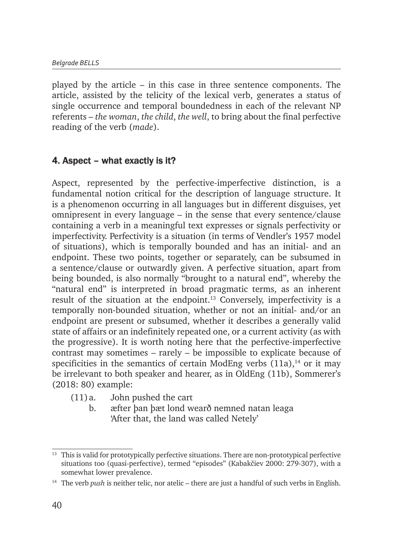played by the article – in this case in three sentence components. The article, assisted by the telicity of the lexical verb, generates a status of single occurrence and temporal boundedness in each of the relevant NP referents – *the woman*, *the child*, *the well*, to bring about the final perfective reading of the verb (*made*).

## 4. Aspect – what exactly is it?

Aspect, represented by the perfective-imperfective distinction, is a fundamental notion critical for the description of language structure. It is a phenomenon occurring in all languages but in different disguises, yet omnipresent in every language – in the sense that every sentence/clause containing a verb in a meaningful text expresses or signals perfectivity or imperfectivity. Perfectivity is a situation (in terms of Vendler's 1957 model of situations), which is temporally bounded and has an initial- and an endpoint. These two points, together or separately, can be subsumed in a sentence/clause or outwardly given. A perfective situation, apart from being bounded, is also normally "brought to a natural end", whereby the "natural end" is interpreted in broad pragmatic terms, as an inherent result of the situation at the endpoint.<sup>13</sup> Conversely, imperfectivity is a temporally non-bounded situation, whether or not an initial- and/or an endpoint are present or subsumed, whether it describes a generally valid state of affairs or an indefinitely repeated one, or a current activity (as with the progressive). It is worth noting here that the perfective-imperfective contrast may sometimes – rarely – be impossible to explicate because of specificities in the semantics of certain ModEng verbs  $(11a)$ ,<sup>14</sup> or it may be irrelevant to both speaker and hearer, as in OldEng (11b), Sommerer's (2018: 80) example:

- (11)a. John pushed the cart
	- b. æfter þan þæt lond wearð nemned natan leaga 'After that, the land was called Netely'

<sup>&</sup>lt;sup>13</sup> This is valid for prototypically perfective situations. There are non-prototypical perfective situations too (quasi-perfective), termed "episodes" (Kabakčiev 2000: 279-307), with a somewhat lower prevalence.

<sup>14</sup> The verb *push* is neither telic, nor atelic – there are just a handful of such verbs in English.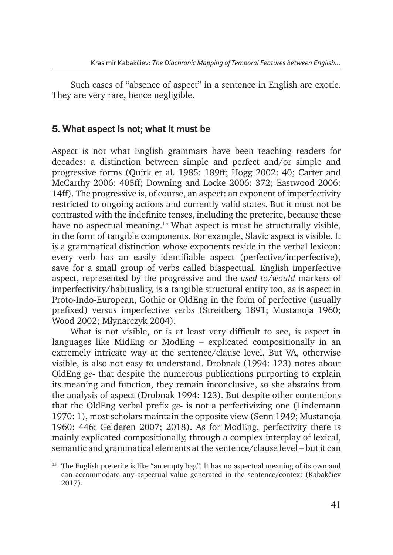Such cases of "absence of aspect" in a sentence in English are exotic. They are very rare, hence negligible.

## 5. What aspect is not; what it must be

Aspect is not what English grammars have been teaching readers for decades: a distinction between simple and perfect and/or simple and progressive forms (Quirk et al. 1985: 189ff; Hogg 2002: 40; Carter and McCarthy 2006: 405ff; Downing and Locke 2006: 372; Eastwood 2006: 14ff). The progressive is, of course, an aspect: an exponent of imperfectivity restricted to ongoing actions and currently valid states. But it must not be contrasted with the indefinite tenses, including the preterite, because these have no aspectual meaning.15 What aspect is must be structurally visible, in the form of tangible components. For example, Slavic aspect is visible. It is a grammatical distinction whose exponents reside in the verbal lexicon: every verb has an easily identifiable aspect (perfective/imperfective), save for a small group of verbs called biaspectual. English imperfective aspect, represented by the progressive and the *used to*/*would* markers of imperfectivity/habituality, is a tangible structural entity too, as is aspect in Proto-Indo-European, Gothic or OldEng in the form of perfective (usually prefixed) versus imperfective verbs (Streitberg 1891; Mustanoja 1960; Wood 2002; Młynarczyk 2004).

What is not visible, or is at least very difficult to see, is aspect in languages like MidEng or ModEng – explicated compositionally in an extremely intricate way at the sentence/clause level. But VA, otherwise visible, is also not easy to understand. Drobnak (1994: 123) notes about OldEng *ge*- that despite the numerous publications purporting to explain its meaning and function, they remain inconclusive, so she abstains from the analysis of aspect (Drobnak 1994: 123). But despite other contentions that the OldEng verbal prefix *ge*- is not a perfectivizing one (Lindemann 1970: 1), most scholars maintain the opposite view (Senn 1949; Mustanoja 1960: 446; Gelderen 2007; 2018). As for ModEng, perfectivity there is mainly explicated compositionally, through a complex interplay of lexical, semantic and grammatical elements at the sentence/clause level – but it can

 $15$  The English preterite is like "an empty bag". It has no aspectual meaning of its own and can accommodate any aspectual value generated in the sentence/context (Kabakčiev 2017).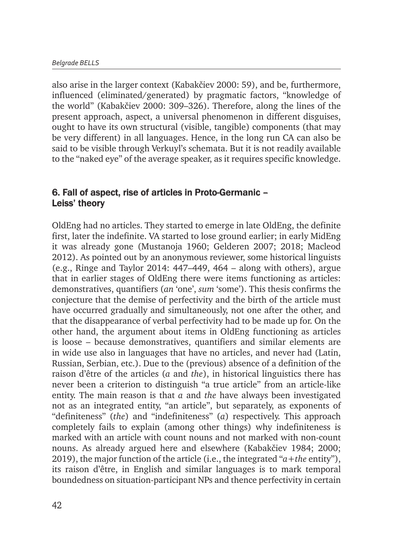also arise in the larger context (Kabakčiev 2000: 59), and be, furthermore, influenced (eliminated/generated) by pragmatic factors, "knowledge of the world" (Kabakčiev 2000: 309–326). Therefore, along the lines of the present approach, aspect, a universal phenomenon in different disguises, ought to have its own structural (visible, tangible) components (that may be very different) in all languages. Hence, in the long run CA can also be said to be visible through Verkuyl's schemata. But it is not readily available to the "naked eye" of the average speaker, as it requires specific knowledge.

### 6. Fall of aspect, rise of articles in Proto-Germanic – Leiss' theory

OldEng had no articles. They started to emerge in late OldEng, the definite first, later the indefinite. VA started to lose ground earlier; in early MidEng it was already gone (Mustanoja 1960; Gelderen 2007; 2018; Macleod 2012). As pointed out by an anonymous reviewer, some historical linguists (e.g., Ringe and Taylor 2014: 447–449, 464 – along with others), argue that in earlier stages of OldEng there were items functioning as articles: demonstratives, quantifiers (*an* 'one', *sum* 'some'). This thesis confirms the conjecture that the demise of perfectivity and the birth of the article must have occurred gradually and simultaneously, not one after the other, and that the disappearance of verbal perfectivity had to be made up for. On the other hand, the argument about items in OldEng functioning as articles is loose – because demonstratives, quantifiers and similar elements are in wide use also in languages that have no articles, and never had (Latin, Russian, Serbian, etc.). Due to the (previous) absence of a definition of the raison d'être of the articles (*a* and *the*), in historical linguistics there has never been a criterion to distinguish "a true article" from an article-like entity. The main reason is that *a* and *the* have always been investigated not as an integrated entity, "an article", but separately, as exponents of "definiteness" (*the*) and "indefiniteness" (*a*) respectively. This approach completely fails to explain (among other things) why indefiniteness is marked with an article with count nouns and not marked with non-count nouns. As already argued here and elsewhere (Kabakčiev 1984; 2000; 2019), the major function of the article (i.e., the integrated "*a*+*the* entity"), its raison d'être, in English and similar languages is to mark temporal boundedness on situation-participant NPs and thence perfectivity in certain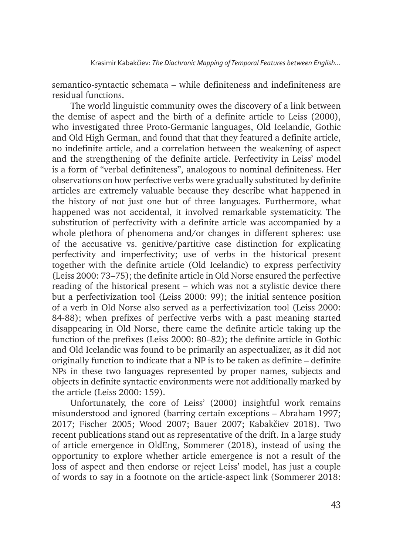semantico-syntactic schemata – while definiteness and indefiniteness are residual functions.

The world linguistic community owes the discovery of a link between the demise of aspect and the birth of a definite article to Leiss (2000), who investigated three Proto-Germanic languages, Old Icelandic, Gothic and Old High German, and found that that they featured a definite article, no indefinite article, and a correlation between the weakening of aspect and the strengthening of the definite article. Perfectivity in Leiss' model is a form of "verbal definiteness", analogous to nominal definiteness. Her observations on how perfective verbs were gradually substituted by definite articles are extremely valuable because they describe what happened in the history of not just one but of three languages. Furthermore, what happened was not accidental, it involved remarkable systematicity. The substitution of perfectivity with a definite article was accompanied by a whole plethora of phenomena and/or changes in different spheres: use of the accusative vs. genitive/partitive case distinction for explicating perfectivity and imperfectivity; use of verbs in the historical present together with the definite article (Old Icelandic) to express perfectivity (Leiss 2000: 73–75); the definite article in Old Norse ensured the perfective reading of the historical present – which was not a stylistic device there but a perfectivization tool (Leiss 2000: 99); the initial sentence position of a verb in Old Norse also served as a perfectivization tool (Leiss 2000: 84-88); when prefixes of perfective verbs with a past meaning started disappearing in Old Norse, there came the definite article taking up the function of the prefixes (Leiss 2000: 80–82); the definite article in Gothic and Old Icelandic was found to be primarily an aspectualizer, as it did not originally function to indicate that a NP is to be taken as definite – definite NPs in these two languages represented by proper names, subjects and objects in definite syntactic environments were not additionally marked by the article (Leiss 2000: 159).

Unfortunately, the core of Leiss' (2000) insightful work remains misunderstood and ignored (barring certain exceptions – Abraham 1997; 2017; Fischer 2005; Wood 2007; Bauer 2007; Kabakčiev 2018). Two recent publications stand out as representative of the drift. In a large study of article emergence in OldEng, Sommerer (2018), instead of using the opportunity to explore whether article emergence is not a result of the loss of aspect and then endorse or reject Leiss' model, has just a couple of words to say in a footnote on the article-aspect link (Sommerer 2018: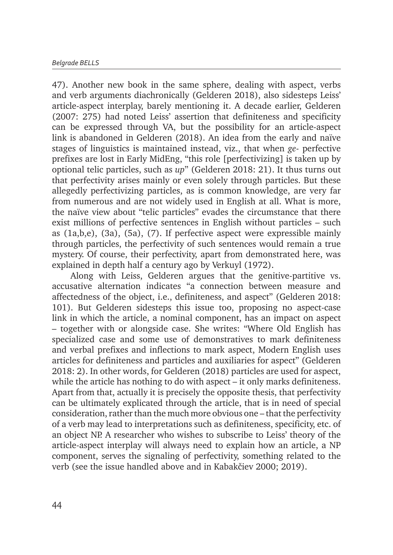47). Another new book in the same sphere, dealing with aspect, verbs and verb arguments diachronically (Gelderen 2018), also sidesteps Leiss' article-aspect interplay, barely mentioning it. A decade earlier, Gelderen (2007: 275) had noted Leiss' assertion that definiteness and specificity can be expressed through VA, but the possibility for an article-aspect link is abandoned in Gelderen (2018). An idea from the early and naïve stages of linguistics is maintained instead, viz., that when *ge*- perfective prefixes are lost in Early MidEng, "this role [perfectivizing] is taken up by optional telic particles, such as *up*" (Gelderen 2018: 21). It thus turns out that perfectivity arises mainly or even solely through particles. But these allegedly perfectivizing particles, as is common knowledge, are very far from numerous and are not widely used in English at all. What is more, the naïve view about "telic particles" evades the circumstance that there exist millions of perfective sentences in English without particles – such as (1a,b,e), (3a), (5a), (7). If perfective aspect were expressible mainly through particles, the perfectivity of such sentences would remain a true mystery. Of course, their perfectivity, apart from demonstrated here, was explained in depth half a century ago by Verkuyl (1972).

Along with Leiss, Gelderen argues that the genitive-partitive vs. accusative alternation indicates "a connection between measure and affectedness of the object, i.e., definiteness, and aspect" (Gelderen 2018: 101). But Gelderen sidesteps this issue too, proposing no aspect-case link in which the article, a nominal component, has an impact on aspect – together with or alongside case. She writes: "Where Old English has specialized case and some use of demonstratives to mark definiteness and verbal prefixes and inflections to mark aspect, Modern English uses articles for definiteness and particles and auxiliaries for aspect" (Gelderen 2018: 2). In other words, for Gelderen (2018) particles are used for aspect, while the article has nothing to do with aspect – it only marks definiteness. Apart from that, actually it is precisely the opposite thesis, that perfectivity can be ultimately explicated through the article, that is in need of special consideration, rather than the much more obvious one – that the perfectivity of a verb may lead to interpretations such as definiteness, specificity, etc. of an object NP. A researcher who wishes to subscribe to Leiss' theory of the article-aspect interplay will always need to explain how an article, a NP component, serves the signaling of perfectivity, something related to the verb (see the issue handled above and in Kabakčiev 2000; 2019).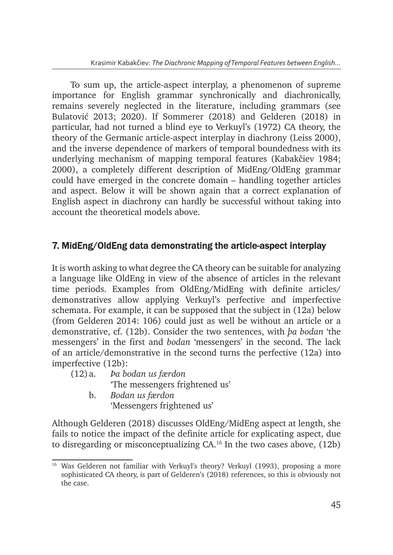To sum up, the article-aspect interplay, a phenomenon of supreme importance for English grammar synchronically and diachronically, remains severely neglected in the literature, including grammars (see Bulatović 2013; 2020). If Sommerer (2018) and Gelderen (2018) in particular, had not turned a blind eye to Verkuyl's (1972) CA theory, the theory of the Germanic article-aspect interplay in diachrony (Leiss 2000), and the inverse dependence of markers of temporal boundedness with its underlying mechanism of mapping temporal features (Kabakčiev 1984; 2000), a completely different description of MidEng/OldEng grammar could have emerged in the concrete domain – handling together articles and aspect. Below it will be shown again that a correct explanation of English aspect in diachrony can hardly be successful without taking into account the theoretical models above.

## 7. MidEng/OldEng data demonstrating the article-aspect interplay

It is worth asking to what degree the CA theory can be suitable for analyzing a language like OldEng in view of the absence of articles in the relevant time periods. Examples from OldEng/MidEng with definite articles/ demonstratives allow applying Verkuyl's perfective and imperfective schemata. For example, it can be supposed that the subject in (12a) below (from Gelderen 2014: 106) could just as well be without an article or a demonstrative, cf. (12b). Consider the two sentences, with *þa bodan* 'the messengers' in the first and *bodan* 'messengers' in the second. The lack of an article/demonstrative in the second turns the perfective (12a) into imperfective (12b):

- (12)a. *Þa bodan us færdon* 'The messengers frightened us'
	- b. *Bodan us færdon* 'Messengers frightened us'

Although Gelderen (2018) discusses OldEng/MidEng aspect at length, she fails to notice the impact of the definite article for explicating aspect, due to disregarding or misconceptualizing  $CA^{16}$  In the two cases above,  $(12b)$ 

<sup>&</sup>lt;sup>16</sup> Was Gelderen not familiar with Verkuyl's theory? Verkuyl (1993), proposing a more sophisticated CA theory, is part of Gelderen's (2018) references, so this is obviously not the case.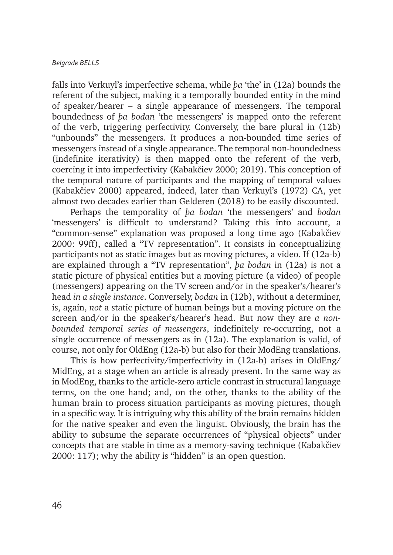falls into Verkuyl's imperfective schema, while *þa* 'the' in (12a) bounds the referent of the subject, making it a temporally bounded entity in the mind of speaker/hearer – a single appearance of messengers. The temporal boundedness of *þa bodan* 'the messengers' is mapped onto the referent of the verb, triggering perfectivity. Conversely, the bare plural in (12b) "unbounds" the messengers. It produces a non-bounded time series of messengers instead of a single appearance. The temporal non-boundedness (indefinite iterativity) is then mapped onto the referent of the verb, coercing it into imperfectivity (Kabakčiev 2000; 2019). This conception of the temporal nature of participants and the mapping of temporal values (Kabakčiev 2000) appeared, indeed, later than Verkuyl's (1972) CA, yet almost two decades earlier than Gelderen (2018) to be easily discounted.

Perhaps the temporality of *þa bodan* 'the messengers' and *bodan*  'messengers' is difficult to understand? Taking this into account, a "common-sense" explanation was proposed a long time ago (Kabakčiev 2000: 99ff), called a "TV representation". It consists in conceptualizing participants not as static images but as moving pictures, a video. If (12a-b) are explained through a "TV representation", *þa bodan* in (12a) is not a static picture of physical entities but a moving picture (a video) of people (messengers) appearing on the TV screen and/or in the speaker's/hearer's head *in a single instance*. Conversely, *bodan* in (12b), without a determiner, is, again, *not* a static picture of human beings but a moving picture on the screen and/or in the speaker's/hearer's head. But now they are *a nonbounded temporal series of messengers*, indefinitely re-occurring, not a single occurrence of messengers as in (12a). The explanation is valid, of course, not only for OldEng (12a-b) but also for their ModEng translations.

This is how perfectivity/imperfectivity in (12a-b) arises in OldEng/ MidEng, at a stage when an article is already present. In the same way as in ModEng, thanks to the article-zero article contrast in structural language terms, on the one hand; and, on the other, thanks to the ability of the human brain to process situation participants as moving pictures, though in a specific way. It is intriguing why this ability of the brain remains hidden for the native speaker and even the linguist. Obviously, the brain has the ability to subsume the separate occurrences of "physical objects" under concepts that are stable in time as a memory-saving technique (Kabakčiev 2000: 117); why the ability is "hidden" is an open question.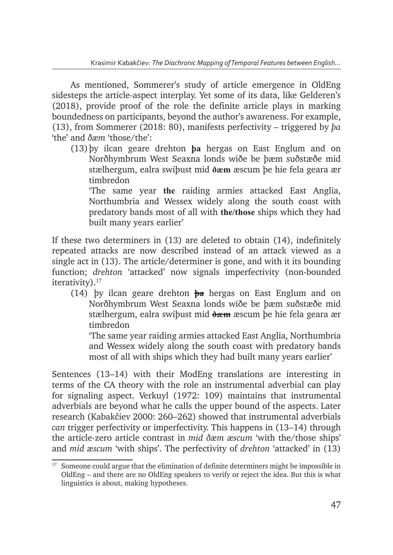As mentioned, Sommerer's study of article emergence in OldEng sidesteps the article-aspect interplay. Yet some of its data, like Gelderen's (2018), provide proof of the role the definite article plays in marking boundedness on participants, beyond the author's awareness. For example, (13), from Sommerer (2018: 80), manifests perfectivity – triggered by *þa* 'the' and *ðæm* 'those/the':

(13)þy ilcan geare drehton **þa** hergas on East Englum and on Norðhymbrum West Seaxna londs wiðe be þæm suðstæðe mid stælhergum, ealra swiþust mid **ðæm** æscum þe hie fela geara ær timbredon

'The same year **the** raiding armies attacked East Anglia, Northumbria and Wessex widely along the south coast with predatory bands most of all with **the/those** ships which they had built many years earlier'

If these two determiners in (13) are deleted to obtain (14), indefinitely repeated attacks are now described instead of an attack viewed as a single act in (13). The article/determiner is gone, and with it its bounding function; *drehton* 'attacked' now signals imperfectivity (non-bounded iterativity).<sup>17</sup>

(14) þy ilcan geare drehton **þa** hergas on East Englum and on Norðhymbrum West Seaxna londs wiðe be þæm suðstæðe mid stælhergum, ealra swiþust mid **ðæm** æscum þe hie fela geara ær timbredon

'The same year raiding armies attacked East Anglia, Northumbria and Wessex widely along the south coast with predatory bands most of all with ships which they had built many years earlier'

Sentences (13–14) with their ModEng translations are interesting in terms of the CA theory with the role an instrumental adverbial can play for signaling aspect. Verkuyl (1972: 109) maintains that instrumental adverbials are beyond what he calls the upper bound of the aspects. Later research (Kabakčiev 2000: 260–262) showed that instrumental adverbials *can* trigger perfectivity or imperfectivity. This happens in (13–14) through the article-zero article contrast in *mid ðæm æscum* 'with the/those ships' and *mid æscum* 'with ships'. The perfectivity of *drehton* 'attacked' in (13)

 $17$  Someone could argue that the elimination of definite determiners might be impossible in OldEng – and there are no OldEng speakers to verify or reject the idea. But this is what linguistics is about, making hypotheses.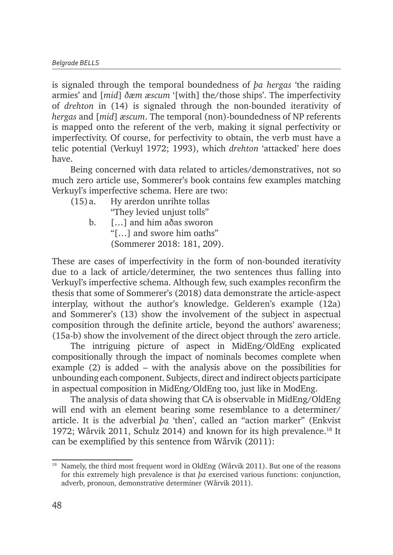is signaled through the temporal boundedness of *þa hergas* 'the raiding armies' and [*mid*] *ðæm æscum* '[with] the/those ships'. The imperfectivity of *drehton* in (14) is signaled through the non-bounded iterativity of *hergas* and [*mid*] *æscum*. The temporal (non)-boundedness of NP referents is mapped onto the referent of the verb, making it signal perfectivity or imperfectivity. Of course, for perfectivity to obtain, the verb must have a telic potential (Verkuyl 1972; 1993), which *drehton* 'attacked' here does have.

Being concerned with data related to articles/demonstratives, not so much zero article use, Sommerer's book contains few examples matching Verkuyl's imperfective schema. Here are two:

| (15) a. | Hy arerdon unrihte tollas  |
|---------|----------------------------|
|         | "They levied unjust tolls" |
| b.      | [] and him aðas sworon     |
|         | "[] and swore him oaths"   |
|         | (Sommerer 2018: 181, 209). |

These are cases of imperfectivity in the form of non-bounded iterativity due to a lack of article/determiner, the two sentences thus falling into Verkuyl's imperfective schema. Although few, such examples reconfirm the thesis that some of Sommerer's (2018) data demonstrate the article-aspect interplay, without the author's knowledge. Gelderen's example (12a) and Sommerer's (13) show the involvement of the subject in aspectual composition through the definite article, beyond the authors' awareness; (15a-b) show the involvement of the direct object through the zero article.

The intriguing picture of aspect in MidEng/OldEng explicated compositionally through the impact of nominals becomes complete when example (2) is added – with the analysis above on the possibilities for unbounding each component. Subjects, direct and indirect objects participate in aspectual composition in MidEng/OldEng too, just like in ModEng.

The analysis of data showing that CA is observable in MidEng/OldEng will end with an element bearing some resemblance to a determiner/ article. It is the adverbial *þa* 'then', called an "action marker" (Enkvist 1972; Wårvik 2011, Schulz 2014) and known for its high prevalence.<sup>18</sup> It can be exemplified by this sentence from Wårvik (2011):

 $18$  Namely, the third most frequent word in OldEng (Wårvik 2011). But one of the reasons for this extremely high prevalence is that *þa* exercised various functions: conjunction, adverb, pronoun, demonstrative determiner (Wårvik 2011).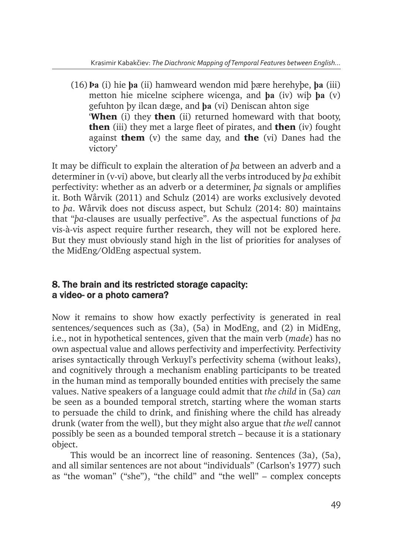(16)**Þa** (i) hie **þa** (ii) hamweard wendon mid þære herehyþe, **þa** (iii) metton hie micelne sciphere wicenga, and **þa** (iv) wiþ **þa** (v) gefuhton þy ilcan dæge, and **þa** (vi) Deniscan ahton sige **When** (i) they **then** (ii) returned homeward with that booty, **then** (iii) they met a large fleet of pirates, and **then** (iv) fought against **them** (v) the same day, and **the** (vi) Danes had the victory'

It may be difficult to explain the alteration of *þa* between an adverb and a determiner in (v-vi) above, but clearly all the verbs introduced by *þa* exhibit perfectivity: whether as an adverb or a determiner, *þa* signals or amplifies it. Both Wårvik (2011) and Schulz (2014) are works exclusively devoted to *þa*. Wårvik does not discuss aspect, but Schulz (2014: 80) maintains that "*þa*-clauses are usually perfective". As the aspectual functions of *þa* vis-à-vis aspect require further research, they will not be explored here. But they must obviously stand high in the list of priorities for analyses of the MidEng/OldEng aspectual system.

## 8. The brain and its restricted storage capacity: a video- or a photo camera?

Now it remains to show how exactly perfectivity is generated in real sentences/sequences such as (3a), (5a) in ModEng, and (2) in MidEng, i.e., not in hypothetical sentences, given that the main verb (*made*) has no own aspectual value and allows perfectivity and imperfectivity. Perfectivity arises syntactically through Verkuyl's perfectivity schema (without leaks), and cognitively through a mechanism enabling participants to be treated in the human mind as temporally bounded entities with precisely the same values. Native speakers of a language could admit that *the child* in (5a) *can* be seen as a bounded temporal stretch, starting where the woman starts to persuade the child to drink, and finishing where the child has already drunk (water from the well), but they might also argue that *the well* cannot possibly be seen as a bounded temporal stretch – because it is a stationary object.

This would be an incorrect line of reasoning. Sentences (3a), (5a), and all similar sentences are not about "individuals" (Carlson's 1977) such as "the woman" ("she"), "the child" and "the well" – complex concepts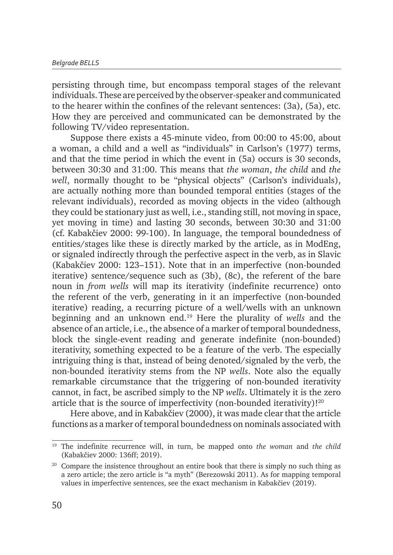persisting through time, but encompass temporal stages of the relevant individuals. These are perceived by the observer-speaker and communicated to the hearer within the confines of the relevant sentences: (3a), (5a), etc. How they are perceived and communicated can be demonstrated by the following TV/video representation.

Suppose there exists a 45-minute video, from 00:00 to 45:00, about a woman, a child and a well as "individuals" in Carlson's (1977) terms, and that the time period in which the event in (5a) occurs is 30 seconds, between 30:30 and 31:00. This means that *the woman*, *the child* and *the well*, normally thought to be "physical objects" (Carlson's individuals), are actually nothing more than bounded temporal entities (stages of the relevant individuals), recorded as moving objects in the video (although they could be stationary just as well, i.e., standing still, not moving in space, yet moving in time) and lasting 30 seconds, between 30:30 and 31:00 (cf. Kabakčiev 2000: 99-100). In language, the temporal boundedness of entities/stages like these is directly marked by the article, as in ModEng, or signaled indirectly through the perfective aspect in the verb, as in Slavic (Kabakčiev 2000: 123–151). Note that in an imperfective (non-bounded iterative) sentence/sequence such as (3b), (8c), the referent of the bare noun in *from wells* will map its iterativity (indefinite recurrence) onto the referent of the verb, generating in it an imperfective (non-bounded iterative) reading, a recurring picture of a well/wells with an unknown beginning and an unknown end.19 Here the plurality of *wells* and the absence of an article, i.e., the absence of a marker of temporal boundedness, block the single-event reading and generate indefinite (non-bounded) iterativity, something expected to be a feature of the verb. The especially intriguing thing is that, instead of being denoted/signaled by the verb, the non-bounded iterativity stems from the NP *wells*. Note also the equally remarkable circumstance that the triggering of non-bounded iterativity cannot, in fact, be ascribed simply to the NP *wells*. Ultimately it is the zero article that is the source of imperfectivity (non-bounded iterativity)!<sup>20</sup>

Here above, and in Kabakčiev (2000), it was made clear that the article functions as a marker of temporal boundedness on nominals associated with

<sup>19</sup> The indefinite recurrence will, in turn, be mapped onto *the woman* and *the child* (Kabakčiev 2000: 136ff; 2019).

 $20$  Compare the insistence throughout an entire book that there is simply no such thing as a zero article; the zero article is "a myth" (Berezowski 2011). As for mapping temporal values in imperfective sentences, see the exact mechanism in Kabakčiev (2019).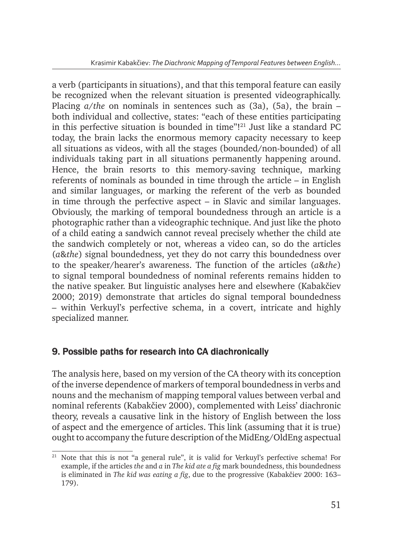a verb (participants in situations), and that this temporal feature can easily be recognized when the relevant situation is presented videographically. Placing *a*/*the* on nominals in sentences such as (3a), (5a), the brain – both individual and collective, states: "each of these entities participating in this perfective situation is bounded in time"!21 Just like a standard PC today, the brain lacks the enormous memory capacity necessary to keep all situations as videos, with all the stages (bounded/non-bounded) of all individuals taking part in all situations permanently happening around. Hence, the brain resorts to this memory-saving technique, marking referents of nominals as bounded in time through the article – in English and similar languages, or marking the referent of the verb as bounded in time through the perfective aspect – in Slavic and similar languages. Obviously, the marking of temporal boundedness through an article is a photographic rather than a videographic technique. And just like the photo of a child eating a sandwich cannot reveal precisely whether the child ate the sandwich completely or not, whereas a video can, so do the articles (*a*&*the*) signal boundedness, yet they do not carry this boundedness over to the speaker/hearer's awareness. The function of the articles (*a*&*the*) to signal temporal boundedness of nominal referents remains hidden to the native speaker. But linguistic analyses here and elsewhere (Kabakčiev 2000; 2019) demonstrate that articles do signal temporal boundedness – within Verkuyl's perfective schema, in a covert, intricate and highly specialized manner.

## 9. Possible paths for research into CA diachronically

The analysis here, based on my version of the CA theory with its conception of the inverse dependence of markers of temporal boundedness in verbs and nouns and the mechanism of mapping temporal values between verbal and nominal referents (Kabakčiev 2000), complemented with Leiss' diachronic theory, reveals a causative link in the history of English between the loss of aspect and the emergence of articles. This link (assuming that it is true) ought to accompany the future description of the MidEng/OldEng aspectual

<sup>21</sup> Note that this is not "a general rule", it is valid for Verkuyl's perfective schema! For example, if the articles *the* and *a* in *The kid ate a fig* mark boundedness, this boundedness is eliminated in *The kid was eating a fig*, due to the progressive (Kabakčiev 2000: 163– 179).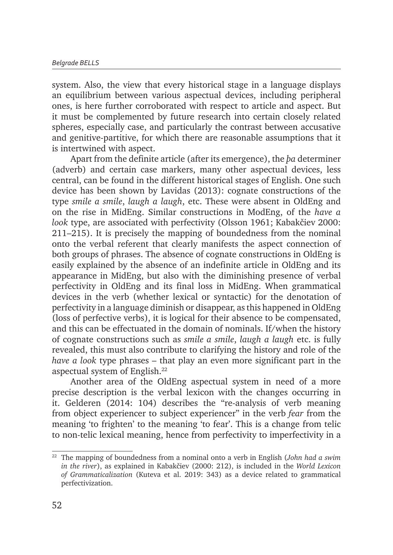system. Also, the view that every historical stage in a language displays an equilibrium between various aspectual devices, including peripheral ones, is here further corroborated with respect to article and aspect. But it must be complemented by future research into certain closely related spheres, especially case, and particularly the contrast between accusative and genitive-partitive, for which there are reasonable assumptions that it is intertwined with aspect.

Apart from the definite article (after its emergence), the *þa* determiner (adverb) and certain case markers, many other aspectual devices, less central, can be found in the different historical stages of English. One such device has been shown by Lavidas (2013): cognate constructions of the type *smile a smile*, *laugh a laugh*, etc. These were absent in OldEng and on the rise in MidEng. Similar constructions in ModEng, of the *have a look* type, are associated with perfectivity (Olsson 1961; Kabakčiev 2000: 211–215). It is precisely the mapping of boundedness from the nominal onto the verbal referent that clearly manifests the aspect connection of both groups of phrases. The absence of cognate constructions in OldEng is easily explained by the absence of an indefinite article in OldEng and its appearance in MidEng, but also with the diminishing presence of verbal perfectivity in OldEng and its final loss in MidEng. When grammatical devices in the verb (whether lexical or syntactic) for the denotation of perfectivity in a language diminish or disappear, as this happened in OldEng (loss of perfective verbs), it is logical for their absence to be compensated, and this can be effectuated in the domain of nominals. If/when the history of cognate constructions such as *smile a smile*, *laugh a laugh* etc. is fully revealed, this must also contribute to clarifying the history and role of the *have a look* type phrases – that play an even more significant part in the aspectual system of English.<sup>22</sup>

Another area of the OldEng aspectual system in need of a more precise description is the verbal lexicon with the changes occurring in it. Gelderen (2014: 104) describes the "re-analysis of verb meaning from object experiencer to subject experiencer" in the verb *fear* from the meaning 'to frighten' to the meaning 'to fear'. This is a change from telic to non-telic lexical meaning, hence from perfectivity to imperfectivity in a

<sup>22</sup> The mapping of boundedness from a nominal onto a verb in English (*John had a swim in the river*), as explained in Kabakčiev (2000: 212), is included in the *World Lexicon of Grammaticalization* (Kuteva et al. 2019: 343) as a device related to grammatical perfectivization.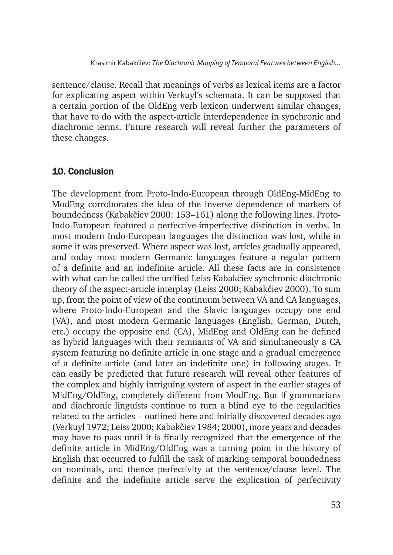sentence/clause. Recall that meanings of verbs as lexical items are a factor for explicating aspect within Verkuyl's schemata. It can be supposed that a certain portion of the OldEng verb lexicon underwent similar changes, that have to do with the aspect-article interdependence in synchronic and diachronic terms. Future research will reveal further the parameters of these changes.

## 10. Conclusion

The development from Proto-Indo-European through OldEng-MidEng to ModEng corroborates the idea of the inverse dependence of markers of boundedness (Kabakčiev 2000: 153–161) along the following lines. Proto-Indo-European featured a perfective-imperfective distinction in verbs. In most modern Indo-European languages the distinction was lost, while in some it was preserved. Where aspect was lost, articles gradually appeared, and today most modern Germanic languages feature a regular pattern of a definite and an indefinite article. All these facts are in consistence with what can be called the unified Leiss-Kabakčiev synchronic-diachronic theory of the aspect-article interplay (Leiss 2000; Kabakčiev 2000). To sum up, from the point of view of the continuum between VA and CA languages, where Proto-Indo-European and the Slavic languages occupy one end (VA), and most modern Germanic languages (English, German, Dutch, etc.) occupy the opposite end (CA), MidEng and OldEng can be defined as hybrid languages with their remnants of VA and simultaneously a CA system featuring no definite article in one stage and a gradual emergence of a definite article (and later an indefinite one) in following stages. It can easily be predicted that future research will reveal other features of the complex and highly intriguing system of aspect in the earlier stages of MidEng/OldEng, completely different from ModEng. But if grammarians and diachronic linguists continue to turn a blind eye to the regularities related to the articles – outlined here and initially discovered decades ago (Verkuyl 1972; Leiss 2000; Kabakčiev 1984; 2000), more years and decades may have to pass until it is finally recognized that the emergence of the definite article in MidEng/OldEng was a turning point in the history of English that occurred to fulfill the task of marking temporal boundedness on nominals, and thence perfectivity at the sentence/clause level. The definite and the indefinite article serve the explication of perfectivity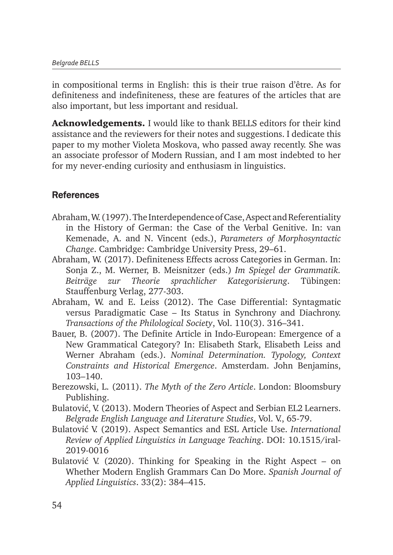in compositional terms in English: this is their true raison d'être. As for definiteness and indefiniteness, these are features of the articles that are also important, but less important and residual.

Acknowledgements. I would like to thank BELLS editors for their kind assistance and the reviewers for their notes and suggestions. I dedicate this paper to my mother Violeta Moskova, who passed away recently. She was an associate professor of Modern Russian, and I am most indebted to her for my never-ending curiosity and enthusiasm in linguistics.

## References

- Abraham, W. (1997). The Interdependence of Case, Aspect and Referentiality in the History of German: the Case of the Verbal Genitive. In: van Kemenade, A. and N. Vincent (eds.), *Parameters of Morphosyntactic Change*. Cambridge: Cambridge University Press, 29–61.
- Abraham, W. (2017). Definiteness Effects across Categories in German. In: Sonja Z., M. Werner, B. Meisnitzer (eds.) *Im Spiegel der Grammatik. Beiträge zur Theorie sprachlicher Kategorisierung*. Tübingen: Stauffenburg Verlag, 277-303.
- Abraham, W. and E. Leiss (2012). The Case Differential: Syntagmatic versus Paradigmatic Case – Its Status in Synchrony and Diachrony. *Transactions of the Philological Society*, Vol. 110(3). 316–341.
- Bauer, B. (2007). The Definite Article in Indo-European: Emergence of a New Grammatical Category? In: Elisabeth Stark, Elisabeth Leiss and Werner Abraham (eds.). *Nominal Determination. Typology, Context Constraints and Historical Emergence*. Amsterdam. John Benjamins, 103–140.
- Berezowski, L. (2011). *The Myth of the Zero Article*. London: Bloomsbury Publishing.
- Bulatović, V. (2013). Modern Theories of Aspect and Serbian EL2 Learners. *Belgrade English Language and Literature Studies*, Vol. V., 65-79.
- Bulatović V. (2019). Aspect Semantics and ESL Article Use. *International Review of Applied Linguistics in Language Teaching*. DOI: 10.1515/iral-2019-0016
- Bulatović V. (2020). Thinking for Speaking in the Right Aspect on Whether Modern English Grammars Can Do More. *Spanish Journal of Applied Linguistics*. 33(2): 384–415.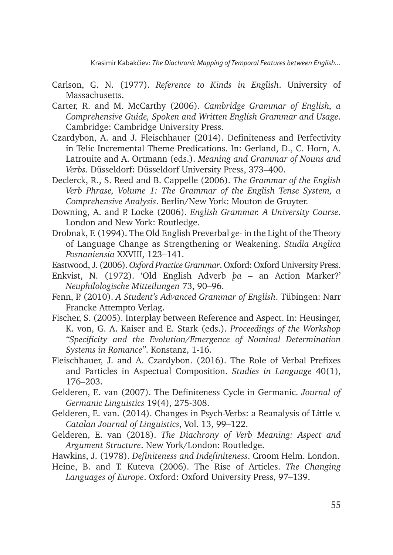- Carlson, G. N. (1977). *Reference to Kinds in English*. University of Massachusetts.
- Carter, R. and M. McCarthy (2006). *Cambridge Grammar of English, a Comprehensive Guide, Spoken and Written English Grammar and Usage*. Cambridge: Cambridge University Press.
- Czardybon, A. and J. Fleischhauer (2014). Definiteness and Perfectivity in Telic Incremental Theme Predications. In: Gerland, D., C. Horn, A. Latrouite and A. Ortmann (eds.). *Meaning and Grammar of Nouns and Verbs*. Düsseldorf: Düsseldorf University Press, 373–400.
- Declerck, R., S. Reed and B. Cappelle (2006). *The Grammar of the English Verb Phrase, Volume 1: The Grammar of the English Tense System, a Comprehensive Analysis*. Berlin/New York: Mouton de Gruyter.
- Downing, A. and P. Locke (2006). *English Grammar. A University Course*. London and New York: Routledge.
- Drobnak, F. (1994). The Old English Preverbal *ge* in the Light of the Theory of Language Change as Strengthening or Weakening. *Studia Anglica Posnaniensia* XXVIII, 123–141.
- Eastwood, J. (2006). *Oxford Practice Grammar*. Oxford: Oxford University Press.
- Enkvist, N. (1972). 'Old English Adverb *þa* an Action Marker?' *Neuphilologische Mitteilungen* 73, 90–96.
- Fenn, P. (2010). *A Student's Advanced Grammar of English*. Tübingen: Narr Francke Attempto Verlag.
- Fischer, S. (2005). Interplay between Reference and Aspect. In: Heusinger, K. von, G. A. Kaiser and E. Stark (eds.). *Proceedings of the Workshop "Specificity and the Evolution/Emergence of Nominal Determination Systems in Romance"*. Konstanz, 1-16.
- Fleischhauer, J. and A. Czardybon. (2016). The Role of Verbal Prefixes and Particles in Aspectual Composition. *Studies in Language* 40(1), 176–203.
- Gelderen, E. van (2007). The Definiteness Cycle in Germanic. *Journal of Germanic Linguistics* 19(4), 275-308.
- Gelderen, E. van. (2014). Changes in Psych-Verbs: a Reanalysis of Little v. *Catalan Journal of Linguistics*, Vol. 13, 99–122.
- Gelderen, E. van (2018). *The Diachrony of Verb Meaning: Aspect and Argument Structure*. New York/London: Routledge.
- Hawkins, J. (1978). *Definiteness and Indefiniteness*. Croom Helm. London.
- Heine, B. and T. Kuteva (2006). The Rise of Articles. *The Changing Languages of Europe*. Oxford: Oxford University Press, 97–139.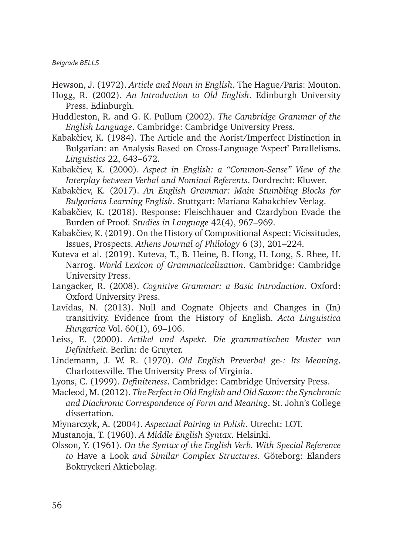Hewson, J. (1972). *Article and Noun in English*. The Hague/Paris: Mouton.

- Hogg, R. (2002). *An Introduction to Old English*. Edinburgh University Press. Edinburgh.
- Huddleston, R. and G. K. Pullum (2002). *The Cambridge Grammar of the English Language*. Cambridge: Cambridge University Press.
- Kabakčiev, K. (1984). The Article and the Aorist/Imperfect Distinction in Bulgarian: an Analysis Based on Cross-Language 'Aspect' Parallelisms. *Linguistics* 22, 643–672.
- Kabakčiev, K. (2000). *Aspect in English: a "Common-Sense" View of the Interplay between Verbal and Nominal Referents*. Dordrecht: Kluwer.
- Kabakčiev, K. (2017). *An English Grammar: Main Stumbling Blocks for Bulgarians Learning English*. Stuttgart: Mariana Kabakchiev Verlag.
- Kabakčiev, K. (2018). Response: Fleischhauer and Czardybon Evade the Burden of Proof. *Studies in Language* 42(4), 967–969.
- Kabakčiev, K. (2019). On the History of Compositional Aspect: Vicissitudes, Issues, Prospects. *Athens Journal of Philology* 6 (3), 201–224.
- Kuteva et al. (2019). Kuteva, T., B. Heine, B. Hong, H. Long, S. Rhee, H. Narrog. *World Lexicon of Grammaticalization*. Cambridge: Cambridge University Press.
- Langacker, R. (2008). *Cognitive Grammar: a Basic Introduction*. Oxford: Oxford University Press.
- Lavidas, N. (2013). Null and Cognate Objects and Changes in (In) transitivity. Evidence from the History of English. *Acta Linguistica Hungarica* Vol. 60(1), 69–106.
- Leiss, E. (2000). *Artikel und Aspekt. Die grammatischen Muster von Definitheit*. Berlin: de Gruyter.
- Lindemann, J. W. R. (1970). *Old English Preverbal* ge*-: Its Meaning*. Charlottesville. The University Press of Virginia.
- Lyons, C. (1999). *Definiteness*. Cambridge: Cambridge University Press.
- Macleod, M. (2012). *The Perfect in Old English and Old Saxon: the Synchronic and Diachronic Correspondence of Form and Meaning*. St. John's College dissertation.
- Młynarczyk, A. (2004). *Aspectual Pairing in Polish*. Utrecht: LOT.
- Mustanoja, T. (1960). *A Middle English Syntax*. Helsinki.
- Olsson, Y. (1961). *On the Syntax of the English Verb. With Special Reference to* Have a Look *and Similar Complex Structures*. Göteborg: Elanders Boktryckeri Aktiebolag.